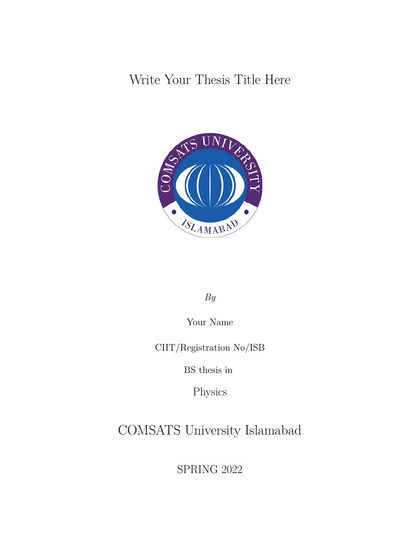Write Your Thesis Title Here



*By*

Your Name

CIIT/Registration No/ISB

BS thesis in

Physics

COMSATS University Islamabad

SPRING 2022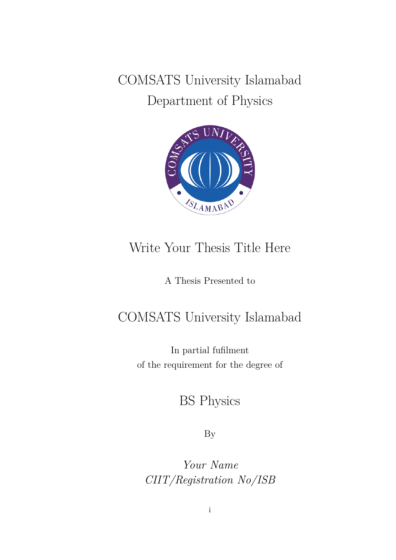COMSATS University Islamabad Department of Physics



### Write Your Thesis Title Here

A Thesis Presented to

### COMSATS University Islamabad

In partial fufilment of the requirement for the degree of

BS Physics

By

*Your Name CIIT/Registration No/ISB*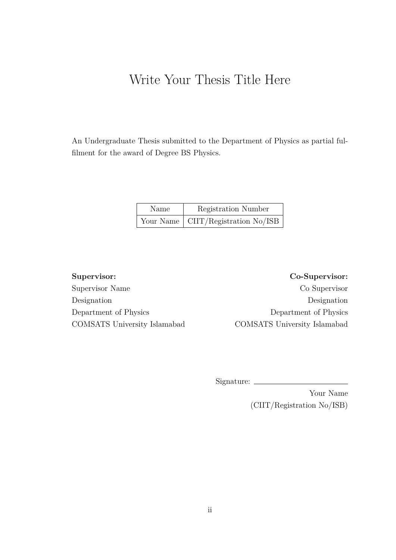### Write Your Thesis Title Here

An Undergraduate Thesis submitted to the Department of Physics as partial fulfilment for the award of Degree BS Physics.

| Name | Registration Number                        |
|------|--------------------------------------------|
|      | Your Name $\vert$ CIIT/Registration No/ISB |

Supervisor Name Co Supervisor Designation Designation Department of Physics Department of Physics COMSATS University Islamabad COMSATS University Islamabad

**Supervisor: Co-Supervisor:**

Signature:

Your Name (CIIT/Registration No/ISB)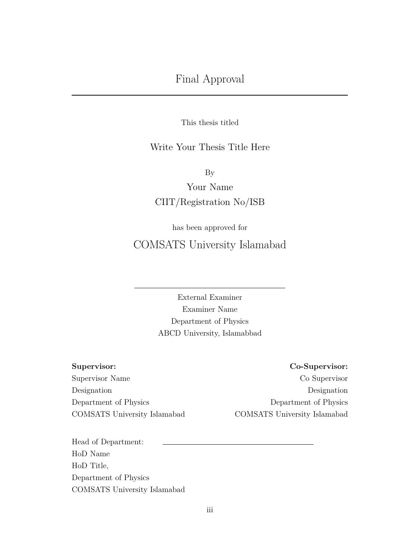This thesis titled

#### Write Your Thesis Title Here

By

Your Name CIIT/Registration No/ISB

has been approved for COMSATS University Islamabad

> External Examiner Examiner Name Department of Physics ABCD University, Islamabbad

**Supervisor: Co-Supervisor:**

Supervisor Name Co Supervisor Designation Designation Department of Physics Department of Physics COMSATS University Islamabad COMSATS University Islamabad

Head of Department: HoD Name HoD Title, Department of Physics COMSATS University Islamabad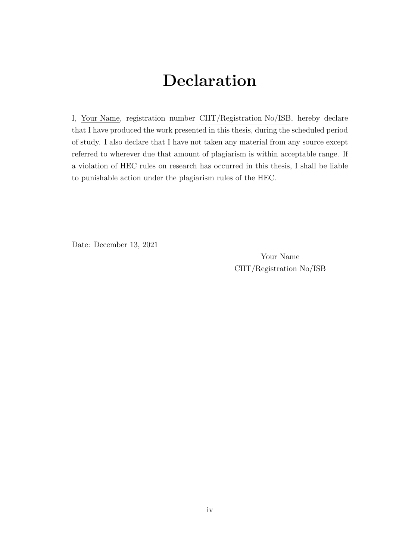### **Declaration**

I, Your Name, registration number CIIT/Registration No/ISB, hereby declare that I have produced the work presented in this thesis, during the scheduled period of study. I also declare that I have not taken any material from any source except referred to wherever due that amount of plagiarism is within acceptable range. If a violation of HEC rules on research has occurred in this thesis, I shall be liable to punishable action under the plagiarism rules of the HEC.

Date: December 13, 2021

Your Name CIIT/Registration No/ISB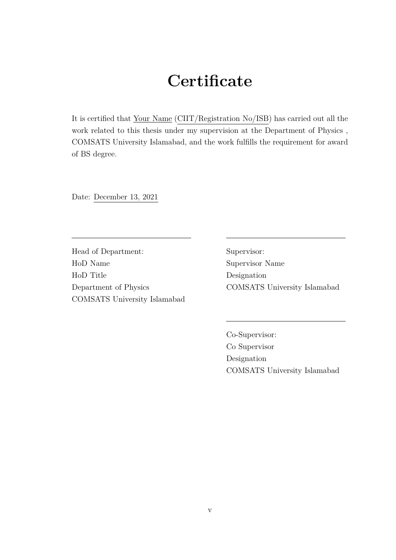## **Certificate**

It is certified that Your Name (CIIT/Registration No/ISB) has carried out all the work related to this thesis under my supervision at the Department of Physics , COMSATS University Islamabad, and the work fulfills the requirement for award of BS degree.

Date: December 13, 2021

Head of Department: HoD Name HoD Title Department of Physics COMSATS University Islamabad Supervisor: Supervisor Name Designation COMSATS University Islamabad

Co-Supervisor: Co Supervisor Designation COMSATS University Islamabad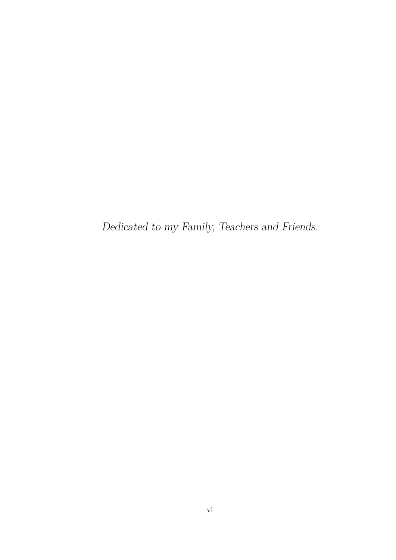*Dedicated to my Family, Teachers and Friends.*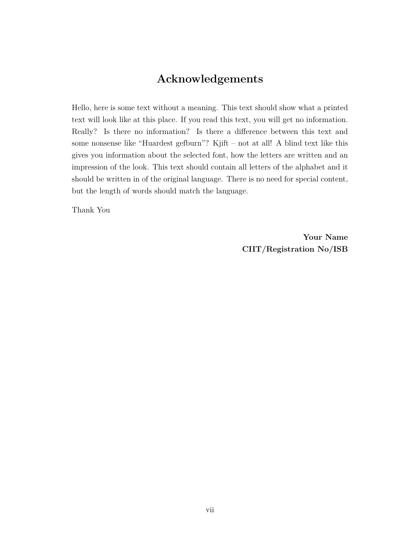### **Acknowledgements**

<span id="page-7-0"></span>Hello, here is some text without a meaning. This text should show what a printed text will look like at this place. If you read this text, you will get no information. Really? Is there no information? Is there a difference between this text and some nonsense like "Huardest gefburn"? Kjift – not at all! A blind text like this gives you information about the selected font, how the letters are written and an impression of the look. This text should contain all letters of the alphabet and it should be written in of the original language. There is no need for special content, but the length of words should match the language.

Thank You

**Your Name CIIT/Registration No/ISB**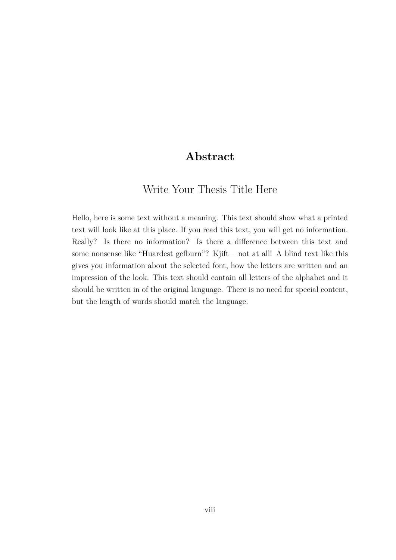#### **Abstract**

### <span id="page-8-0"></span>Write Your Thesis Title Here

Hello, here is some text without a meaning. This text should show what a printed text will look like at this place. If you read this text, you will get no information. Really? Is there no information? Is there a difference between this text and some nonsense like "Huardest gefburn"? Kjift – not at all! A blind text like this gives you information about the selected font, how the letters are written and an impression of the look. This text should contain all letters of the alphabet and it should be written in of the original language. There is no need for special content, but the length of words should match the language.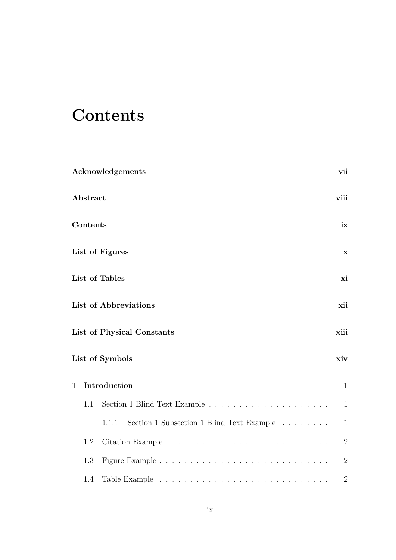# <span id="page-9-0"></span>**Contents**

|              |          | Acknowledgements                                                                | vii          |
|--------------|----------|---------------------------------------------------------------------------------|--------------|
|              | Abstract |                                                                                 | viii         |
|              | Contents |                                                                                 | ix           |
|              |          | List of Figures                                                                 | $\mathbf X$  |
|              |          | List of Tables                                                                  | xi           |
|              |          | <b>List of Abbreviations</b>                                                    | xii          |
|              |          | List of Physical Constants                                                      | xiii         |
|              |          | List of Symbols                                                                 | xiv          |
| $\mathbf{1}$ |          | Introduction                                                                    | $\mathbf{1}$ |
|              | 1.1      | Section 1 Blind Text Example $\ldots \ldots \ldots \ldots \ldots \ldots \ldots$ | $\mathbf{1}$ |
|              |          | Section 1 Subsection 1 Blind Text Example<br>1.1.1                              | $\mathbf{1}$ |
|              | 1.2      |                                                                                 | $\sqrt{2}$   |
|              | 1.3      |                                                                                 | $\sqrt{2}$   |
|              | 1.4      |                                                                                 | $\sqrt{2}$   |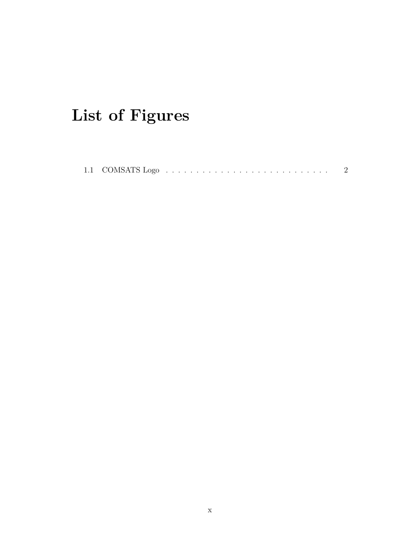# <span id="page-10-0"></span>List of Figures

|--|--|--|--|--|--|--|--|--|--|--|--|--|--|--|--|--|--|--|--|--|--|--|--|--|--|--|--|--|--|--|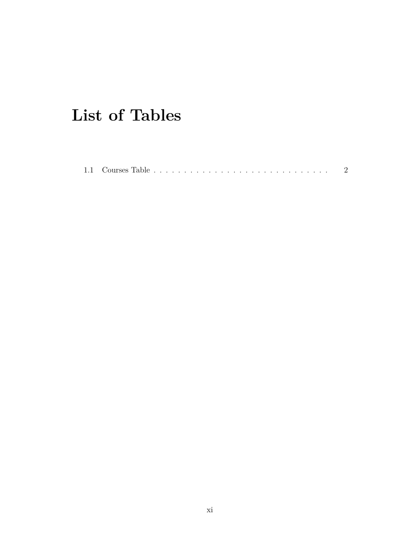# <span id="page-11-0"></span>**List of Tables**

|  | 1.1 Courses Table |  |  |  |  |  |  |  |  |  |  |  |  |  |  |  |  |  |  |  |  |  |  |  |  |  |  |  |  |  |  |  |
|--|-------------------|--|--|--|--|--|--|--|--|--|--|--|--|--|--|--|--|--|--|--|--|--|--|--|--|--|--|--|--|--|--|--|
|--|-------------------|--|--|--|--|--|--|--|--|--|--|--|--|--|--|--|--|--|--|--|--|--|--|--|--|--|--|--|--|--|--|--|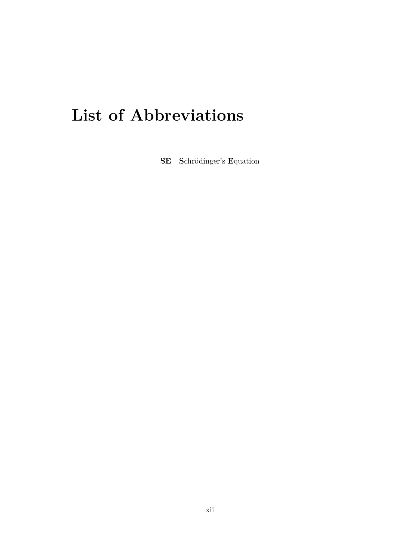# <span id="page-12-0"></span>**List of Abbreviations**

SE Schrödinger's Equation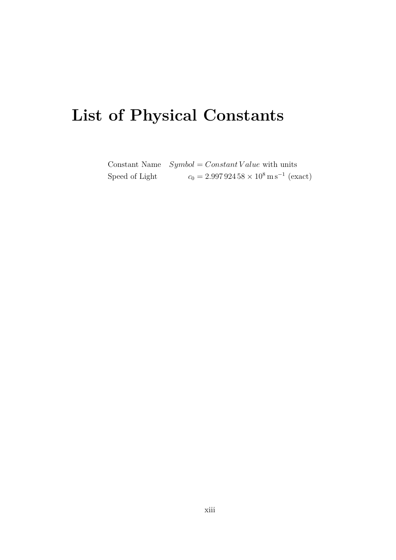# <span id="page-13-0"></span>List of Physical Constants

Constant Name  $Symbol = Constant Value$  with units  $c_0 = 2.99792458 \times 10^8 \,\mathrm{m\,s^{-1}}$  (exact) Speed of Light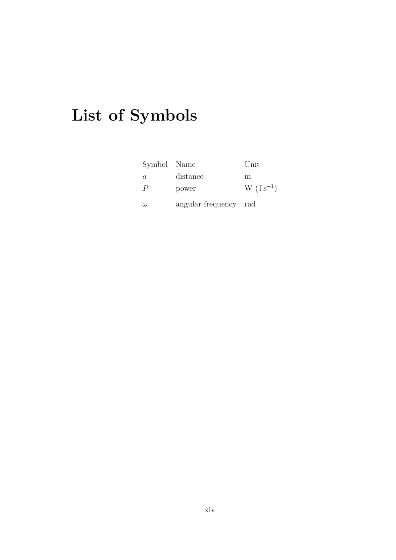# <span id="page-14-0"></span>**List of Symbols**

| Symbol Name    |                       | Unit          |
|----------------|-----------------------|---------------|
| $\alpha$       | distance              | m             |
| $\overline{P}$ | power                 | $W (Js^{-1})$ |
| $\omega$       | angular frequency rad |               |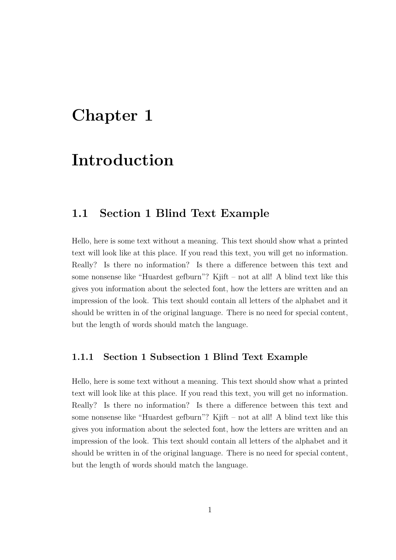### <span id="page-15-0"></span>**Chapter 1**

### **Introduction**

#### <span id="page-15-1"></span>**1.1 Section 1 Blind Text Example**

Hello, here is some text without a meaning. This text should show what a printed text will look like at this place. If you read this text, you will get no information. Really? Is there no information? Is there a difference between this text and some nonsense like "Huardest gefburn"? Kjift – not at all! A blind text like this gives you information about the selected font, how the letters are written and an impression of the look. This text should contain all letters of the alphabet and it should be written in of the original language. There is no need for special content, but the length of words should match the language.

#### <span id="page-15-2"></span>**1.1.1 Section 1 Subsection 1 Blind Text Example**

Hello, here is some text without a meaning. This text should show what a printed text will look like at this place. If you read this text, you will get no information. Really? Is there no information? Is there a difference between this text and some nonsense like "Huardest gefburn"? Kjift – not at all! A blind text like this gives you information about the selected font, how the letters are written and an impression of the look. This text should contain all letters of the alphabet and it should be written in of the original language. There is no need for special content, but the length of words should match the language.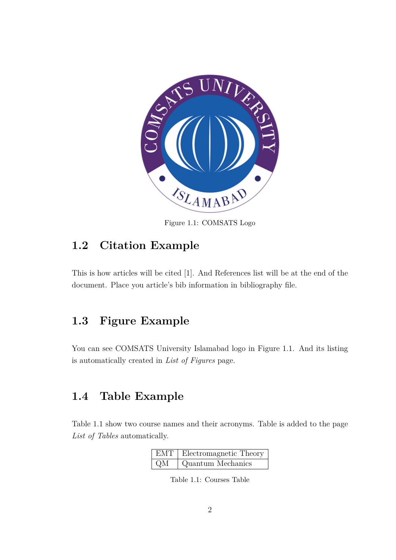<span id="page-16-3"></span>

Figure 1.1: COMSATS Logo

### <span id="page-16-0"></span>**1.2 Citation Example**

This is how articles will be cited [\[1\]](#page-17-0). And References list will be at the end of the document. Place you article's bib information in bibliography file.

### <span id="page-16-1"></span>**1.3 Figure Example**

You can see COMSATS University Islamabad logo in Figure [1.1.](#page-16-3) And its listing is automatically created in *List of Figures* page.

#### <span id="page-16-2"></span>**1.4 Table Example**

<span id="page-16-4"></span>Table [1.1](#page-16-4) show two course names and their acronyms. Table is added to the page *List of Tables* automatically.

|    | EMT   Electromagnetic Theory |
|----|------------------------------|
| QM | Quantum Mechanics            |

Table 1.1: Courses Table